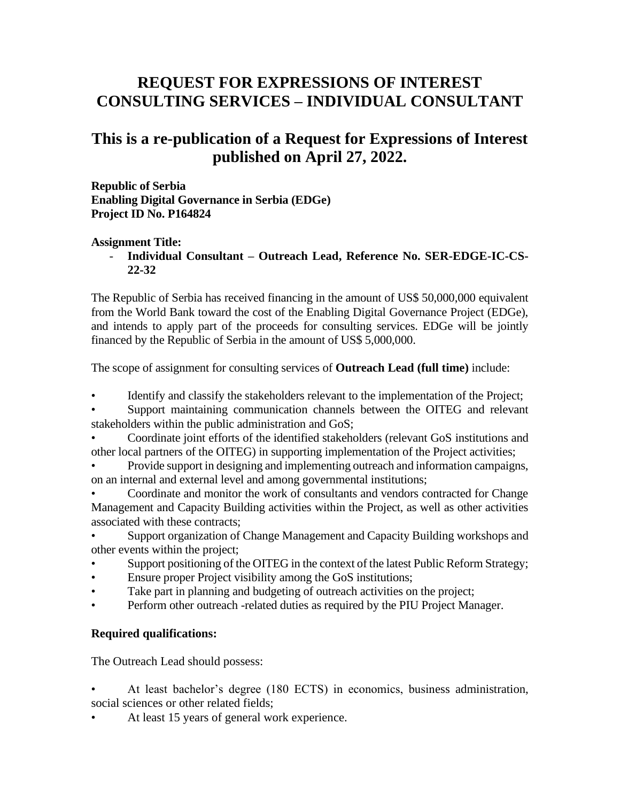## **REQUEST FOR EXPRESSIONS OF INTEREST CONSULTING SERVICES – INDIVIDUAL CONSULTANT**

## **This is a re-publication of a Request for Expressions of Interest published on April 27, 2022.**

**Republic of Serbia Enabling Digital Governance in Serbia (EDGe) Project ID No. P164824**

## **Assignment Title:**

- **Individual Consultant – Outreach Lead, Reference No. SER-EDGE-IC-CS-22-32**

The Republic of Serbia has received financing in the amount of US\$ 50,000,000 equivalent from the World Bank toward the cost of the Enabling Digital Governance Project (EDGe), and intends to apply part of the proceeds for consulting services. EDGe will be jointly financed by the Republic of Serbia in the amount of US\$ 5,000,000.

The scope of assignment for consulting services of **Outreach Lead (full time)** include:

- Identify and classify the stakeholders relevant to the implementation of the Project;
- Support maintaining communication channels between the OITEG and relevant stakeholders within the public administration and GoS;

• Coordinate joint efforts of the identified stakeholders (relevant GoS institutions and other local partners of the OITEG) in supporting implementation of the Project activities;

• Provide support in designing and implementing outreach and information campaigns, on an internal and external level and among governmental institutions;

• Coordinate and monitor the work of consultants and vendors contracted for Change Management and Capacity Building activities within the Project, as well as other activities associated with these contracts;

• Support organization of Change Management and Capacity Building workshops and other events within the project;

- Support positioning of the OITEG in the context of the latest Public Reform Strategy;
- Ensure proper Project visibility among the GoS institutions;
- Take part in planning and budgeting of outreach activities on the project;
- Perform other outreach -related duties as required by the PIU Project Manager.

## **Required qualifications:**

The Outreach Lead should possess:

• At least bachelor's degree (180 ECTS) in economics, business administration, social sciences or other related fields;

At least 15 years of general work experience.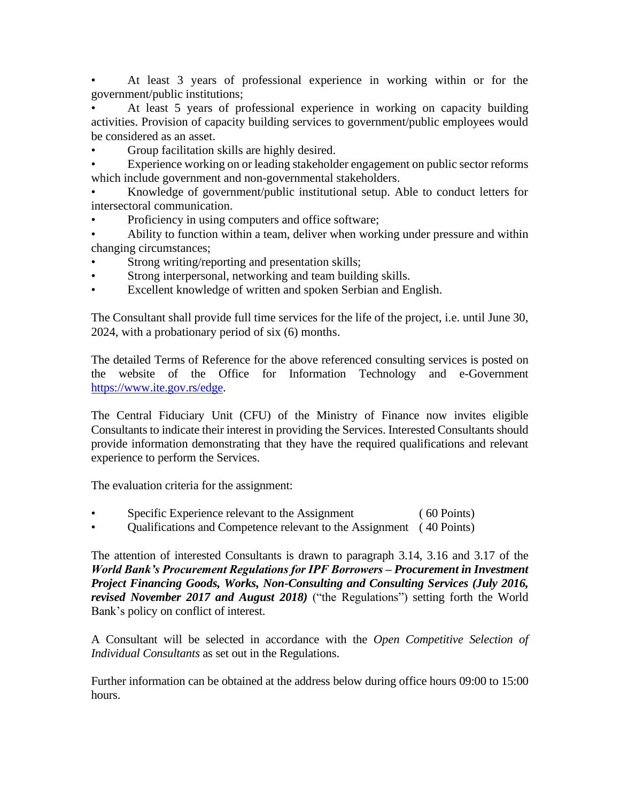• At least 3 years of professional experience in working within or for the government/public institutions;

• At least 5 years of professional experience in working on capacity building activities. Provision of capacity building services to government/public employees would be considered as an asset.

• Group facilitation skills are highly desired.

Experience working on or leading stakeholder engagement on public sector reforms which include government and non-governmental stakeholders.

• Knowledge of government/public institutional setup. Able to conduct letters for intersectoral communication.

- Proficiency in using computers and office software;
- Ability to function within a team, deliver when working under pressure and within changing circumstances;
- Strong writing/reporting and presentation skills;
- Strong interpersonal, networking and team building skills.
- Excellent knowledge of written and spoken Serbian and English.

The Consultant shall provide full time services for the life of the project, i.e. until June 30, 2024, with a probationary period of six (6) months.

The detailed Terms of Reference for the above referenced consulting services is posted on the website of the Office for Information Technology and e-Government [https://www.ite.gov.rs/edge.](https://www.ite.gov.rs/edge)

The Central Fiduciary Unit (CFU) of the Ministry of Finance now invites eligible Consultants to indicate their interest in providing the Services. Interested Consultants should provide information demonstrating that they have the required qualifications and relevant experience to perform the Services.

The evaluation criteria for the assignment:

- Specific Experience relevant to the Assignment ( 60 Points)
- Qualifications and Competence relevant to the Assignment ( 40 Points)

The attention of interested Consultants is drawn to paragraph 3.14, 3.16 and 3.17 of the *World Bank's Procurement Regulations for IPF Borrowers – Procurement in Investment Project Financing Goods, Works, Non-Consulting and Consulting Services (July 2016, revised November 2017 and August 2018)* ("the Regulations") setting forth the World Bank's policy on conflict of interest.

A Consultant will be selected in accordance with the *Open Competitive Selection of Individual Consultants* as set out in the Regulations.

Further information can be obtained at the address below during office hours 09:00 to 15:00 hours.